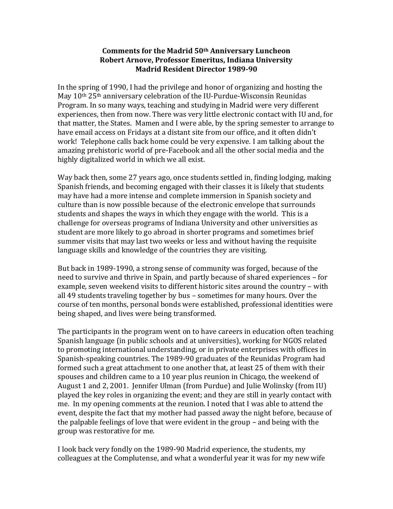## **Comments for the Madrid 50th Anniversary Luncheon Robert Arnove, Professor Emeritus, Indiana University Madrid Resident Director 1989-90**

In the spring of 1990, I had the privilege and honor of organizing and hosting the May  $10<sup>th</sup> 25<sup>th</sup>$  anniversary celebration of the IU-Purdue-Wisconsin Reunidas Program. In so many ways, teaching and studying in Madrid were very different experiences, then from now. There was very little electronic contact with IU and, for that matter, the States. Mamen and I were able, by the spring semester to arrange to have email access on Fridays at a distant site from our office, and it often didn't work! Telephone calls back home could be very expensive. I am talking about the amazing prehistoric world of pre-Facebook and all the other social media and the highly digitalized world in which we all exist.

Way back then, some 27 years ago, once students settled in, finding lodging, making Spanish friends, and becoming engaged with their classes it is likely that students may have had a more intense and complete immersion in Spanish society and culture than is now possible because of the electronic envelope that surrounds students and shapes the ways in which they engage with the world. This is a challenge for overseas programs of Indiana University and other universities as student are more likely to go abroad in shorter programs and sometimes brief summer visits that may last two weeks or less and without having the requisite language skills and knowledge of the countries they are visiting.

But back in 1989-1990, a strong sense of community was forged, because of the need to survive and thrive in Spain, and partly because of shared experiences – for example, seven weekend visits to different historic sites around the country – with all 49 students traveling together by bus – sometimes for many hours. Over the course of ten months, personal bonds were established, professional identities were being shaped, and lives were being transformed.

The participants in the program went on to have careers in education often teaching Spanish language (in public schools and at universities), working for NGOS related to promoting international understanding, or in private enterprises with offices in Spanish-speaking countries. The 1989-90 graduates of the Reunidas Program had formed such a great attachment to one another that, at least 25 of them with their spouses and children came to a 10 year plus reunion in Chicago, the weekend of August 1 and 2, 2001. Jennifer Ulman (from Purdue) and Julie Wolinsky (from IU) played the key roles in organizing the event; and they are still in yearly contact with me. In my opening comments at the reunion. I noted that I was able to attend the event, despite the fact that my mother had passed away the night before, because of the palpable feelings of love that were evident in the group – and being with the group was restorative for me.

I look back very fondly on the 1989-90 Madrid experience, the students, my colleagues at the Complutense, and what a wonderful year it was for my new wife